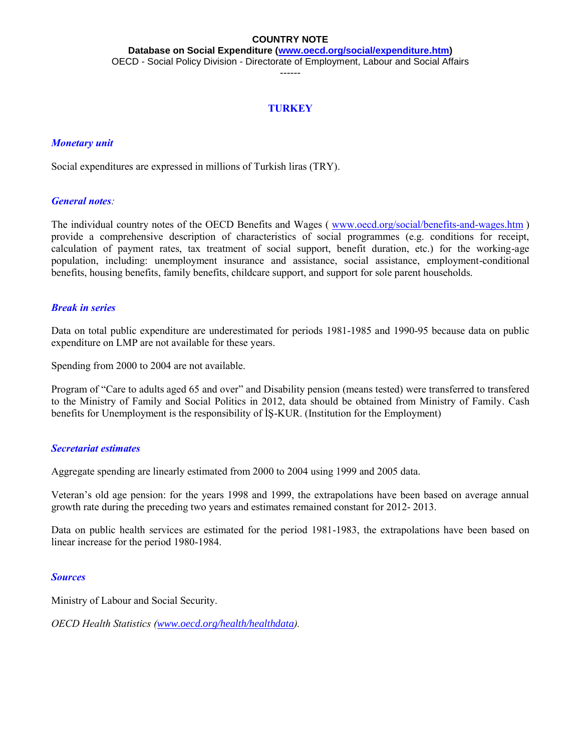**Database on Social Expenditure [\(www.oecd.org/social/expenditure.htm\)](http://www.oecd.org/social/expenditure.htm)** OECD - Social Policy Division - Directorate of Employment, Labour and Social Affairs

------

# **TURKEY**

# *Monetary unit*

Social expenditures are expressed in millions of Turkish liras (TRY).

## *General notes:*

The individual country notes of the OECD Benefits and Wages ( [www.oecd.org/social/benefits-and-wages.htm](http://www.oecd.org/social/benefits-and-wages.htm) ) provide a comprehensive description of characteristics of social programmes (e.g. conditions for receipt, calculation of payment rates, tax treatment of social support, benefit duration, etc.) for the working-age population, including: unemployment insurance and assistance, social assistance, employment-conditional benefits, housing benefits, family benefits, childcare support, and support for sole parent households.

# *Break in series*

Data on total public expenditure are underestimated for periods 1981-1985 and 1990-95 because data on public expenditure on LMP are not available for these years.

Spending from 2000 to 2004 are not available.

Program of "Care to adults aged 65 and over" and Disability pension (means tested) were transferred to transfered to the Ministry of Family and Social Politics in 2012, data should be obtained from Ministry of Family. Cash benefits for Unemployment is the responsibility of İŞ-KUR. (Institution for the Employment)

### *Secretariat estimates*

Aggregate spending are linearly estimated from 2000 to 2004 using 1999 and 2005 data.

Veteran's old age pension: for the years 1998 and 1999, the extrapolations have been based on average annual growth rate during the preceding two years and estimates remained constant for 2012- 2013.

Data on public health services are estimated for the period 1981-1983, the extrapolations have been based on linear increase for the period 1980-1984.

### *Sources*

Ministry of Labour and Social Security.

*OECD Health Statistics ([www.oecd.org/health/healthdata](http://www.oecd.org/health/healthdata)).*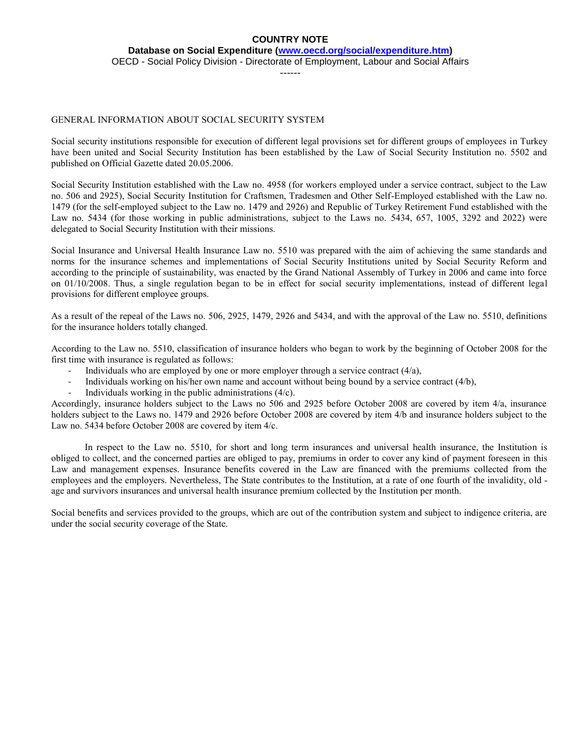**Database on Social Expenditure [\(www.oecd.org/social/expenditure.htm\)](http://www.oecd.org/social/expenditure.htm)**

OECD - Social Policy Division - Directorate of Employment, Labour and Social Affairs

### ------

### GENERAL INFORMATION ABOUT SOCIAL SECURITY SYSTEM

Social security institutions responsible for execution of different legal provisions set for different groups of employees in Turkey have been united and Social Security Institution has been established by the Law of Social Security Institution no. 5502 and published on Official Gazette dated 20.05.2006.

Social Security Institution established with the Law no. 4958 (for workers employed under a service contract, subject to the Law no. 506 and 2925), Social Security Institution for Craftsmen, Tradesmen and Other Self-Employed established with the Law no. 1479 (for the self-employed subject to the Law no. 1479 and 2926) and Republic of Turkey Retirement Fund established with the Law no. 5434 (for those working in public administrations, subject to the Laws no. 5434, 657, 1005, 3292 and 2022) were delegated to Social Security Institution with their missions.

Social Insurance and Universal Health Insurance Law no. 5510 was prepared with the aim of achieving the same standards and norms for the insurance schemes and implementations of Social Security Institutions united by Social Security Reform and according to the principle of sustainability, was enacted by the Grand National Assembly of Turkey in 2006 and came into force on 01/10/2008. Thus, a single regulation began to be in effect for social security implementations, instead of different legal provisions for different employee groups.

As a result of the repeal of the Laws no. 506, 2925, 1479, 2926 and 5434, and with the approval of the Law no. 5510, definitions for the insurance holders totally changed.

According to the Law no. 5510, classification of insurance holders who began to work by the beginning of October 2008 for the first time with insurance is regulated as follows:

- Individuals who are employed by one or more employer through a service contract  $(4/a)$ ,
- Individuals working on his/her own name and account without being bound by a service contract (4/b),
- Individuals working in the public administrations  $(4/c)$ .

Accordingly, insurance holders subject to the Laws no 506 and 2925 before October 2008 are covered by item 4/a, insurance holders subject to the Laws no. 1479 and 2926 before October 2008 are covered by item 4/b and insurance holders subject to the Law no. 5434 before October 2008 are covered by item 4/c.

In respect to the Law no. 5510, for short and long term insurances and universal health insurance, the Institution is obliged to collect, and the concerned parties are obliged to pay, premiums in order to cover any kind of payment foreseen in this Law and management expenses. Insurance benefits covered in the Law are financed with the premiums collected from the employees and the employers. Nevertheless, The State contributes to the Institution, at a rate of one fourth of the invalidity, old age and survivors insurances and universal health insurance premium collected by the Institution per month.

Social benefits and services provided to the groups, which are out of the contribution system and subject to indigence criteria, are under the social security coverage of the State.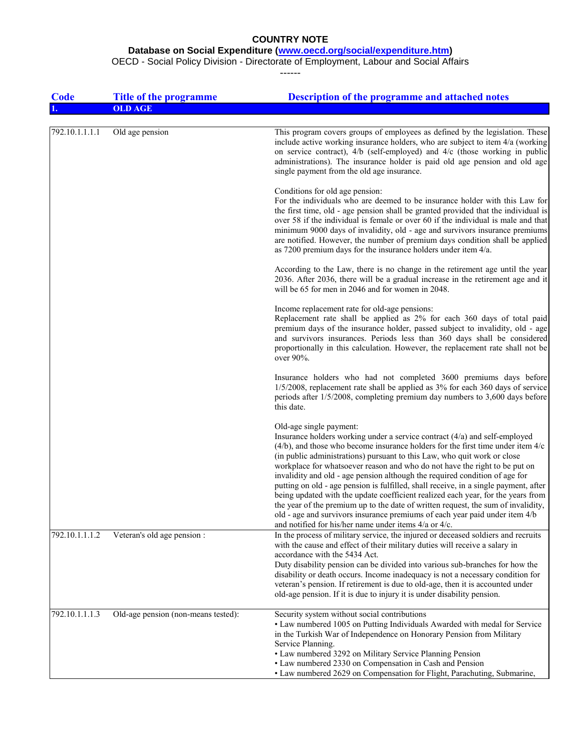**Database on Social Expenditure [\(www.oecd.org/social/expenditure.htm\)](http://www.oecd.org/social/expenditure.htm)**

OECD - Social Policy Division - Directorate of Employment, Labour and Social Affairs

| Code           | <b>Title of the programme</b>       | <b>Description of the programme and attached notes</b>                                                                                                                                                                                                                                                                                                                                                                                                                                                                                                                                                                                                                                                                                                                                                                                          |
|----------------|-------------------------------------|-------------------------------------------------------------------------------------------------------------------------------------------------------------------------------------------------------------------------------------------------------------------------------------------------------------------------------------------------------------------------------------------------------------------------------------------------------------------------------------------------------------------------------------------------------------------------------------------------------------------------------------------------------------------------------------------------------------------------------------------------------------------------------------------------------------------------------------------------|
|                | <b>OLD AGE</b>                      |                                                                                                                                                                                                                                                                                                                                                                                                                                                                                                                                                                                                                                                                                                                                                                                                                                                 |
| 792.10.1.1.1.1 | Old age pension                     | This program covers groups of employees as defined by the legislation. These                                                                                                                                                                                                                                                                                                                                                                                                                                                                                                                                                                                                                                                                                                                                                                    |
|                |                                     | include active working insurance holders, who are subject to item 4/a (working<br>on service contract), 4/b (self-employed) and 4/c (those working in public<br>administrations). The insurance holder is paid old age pension and old age<br>single payment from the old age insurance.                                                                                                                                                                                                                                                                                                                                                                                                                                                                                                                                                        |
|                |                                     | Conditions for old age pension:<br>For the individuals who are deemed to be insurance holder with this Law for<br>the first time, old - age pension shall be granted provided that the individual is<br>over 58 if the individual is female or over 60 if the individual is male and that<br>minimum 9000 days of invalidity, old - age and survivors insurance premiums<br>are notified. However, the number of premium days condition shall be applied<br>as $7200$ premium days for the insurance holders under item $4/a$ .                                                                                                                                                                                                                                                                                                                 |
|                |                                     | According to the Law, there is no change in the retirement age until the year<br>2036. After 2036, there will be a gradual increase in the retirement age and it<br>will be 65 for men in 2046 and for women in 2048.                                                                                                                                                                                                                                                                                                                                                                                                                                                                                                                                                                                                                           |
|                |                                     | Income replacement rate for old-age pensions:<br>Replacement rate shall be applied as 2% for each 360 days of total paid<br>premium days of the insurance holder, passed subject to invalidity, old - age<br>and survivors insurances. Periods less than 360 days shall be considered<br>proportionally in this calculation. However, the replacement rate shall not be<br>over 90%.                                                                                                                                                                                                                                                                                                                                                                                                                                                            |
|                |                                     | Insurance holders who had not completed 3600 premiums days before<br>1/5/2008, replacement rate shall be applied as 3% for each 360 days of service<br>periods after 1/5/2008, completing premium day numbers to 3,600 days before<br>this date.                                                                                                                                                                                                                                                                                                                                                                                                                                                                                                                                                                                                |
|                |                                     | Old-age single payment:<br>Insurance holders working under a service contract (4/a) and self-employed<br>$(4/b)$ , and those who become insurance holders for the first time under item $4/c$<br>(in public administrations) pursuant to this Law, who quit work or close<br>workplace for whatsoever reason and who do not have the right to be put on<br>invalidity and old - age pension although the required condition of age for<br>putting on old - age pension is fulfilled, shall receive, in a single payment, after<br>being updated with the update coefficient realized each year, for the years from<br>the year of the premium up to the date of written request, the sum of invalidity,<br>old - age and survivors insurance premiums of each year paid under item 4/b<br>and notified for his/her name under items 4/a or 4/c. |
| 792.10.1.1.1.2 | Veteran's old age pension :         | In the process of military service, the injured or deceased soldiers and recruits<br>with the cause and effect of their military duties will receive a salary in<br>accordance with the 5434 Act.<br>Duty disability pension can be divided into various sub-branches for how the<br>disability or death occurs. Income inadequacy is not a necessary condition for<br>veteran's pension. If retirement is due to old-age, then it is accounted under<br>old-age pension. If it is due to injury it is under disability pension.                                                                                                                                                                                                                                                                                                                |
| 792.10.1.1.1.3 | Old-age pension (non-means tested): | Security system without social contributions<br>• Law numbered 1005 on Putting Individuals Awarded with medal for Service<br>in the Turkish War of Independence on Honorary Pension from Military<br>Service Planning.<br>• Law numbered 3292 on Military Service Planning Pension<br>• Law numbered 2330 on Compensation in Cash and Pension<br>• Law numbered 2629 on Compensation for Flight, Parachuting, Submarine,                                                                                                                                                                                                                                                                                                                                                                                                                        |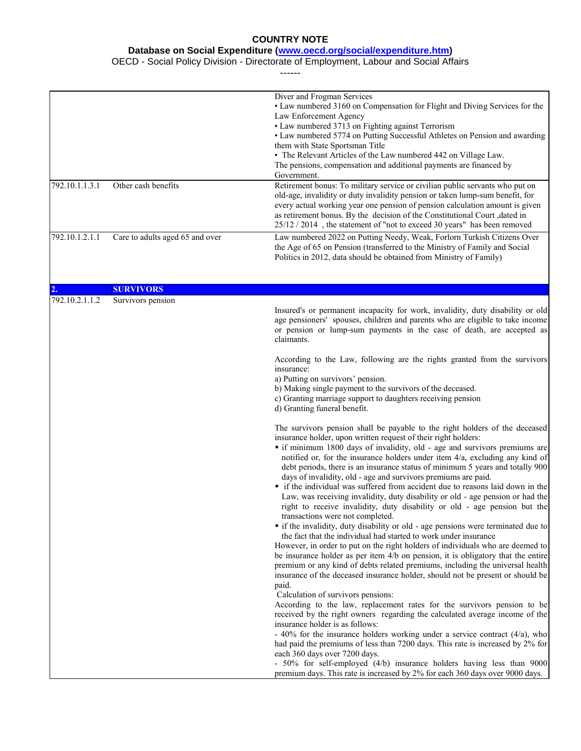#### **Database on Social Expenditure [\(www.oecd.org/social/expenditure.htm\)](http://www.oecd.org/social/expenditure.htm)**

OECD - Social Policy Division - Directorate of Employment, Labour and Social Affairs

|                |                                 | Diver and Frogman Services<br>• Law numbered 3160 on Compensation for Flight and Diving Services for the<br>Law Enforcement Agency<br>• Law numbered 3713 on Fighting against Terrorism<br>• Law numbered 5774 on Putting Successful Athletes on Pension and awarding<br>them with State Sportsman Title<br>• The Relevant Articles of the Law numbered 442 on Village Law.<br>The pensions, compensation and additional payments are financed by<br>Government.                                                                                                                                                                                                                                                                                                                                                                                                                                                                                                                                                                                                                                                                                                                                                                                                                                                                                                                                                                                                                                                                                                                                                                                                                                                                                                                                                                                             |
|----------------|---------------------------------|--------------------------------------------------------------------------------------------------------------------------------------------------------------------------------------------------------------------------------------------------------------------------------------------------------------------------------------------------------------------------------------------------------------------------------------------------------------------------------------------------------------------------------------------------------------------------------------------------------------------------------------------------------------------------------------------------------------------------------------------------------------------------------------------------------------------------------------------------------------------------------------------------------------------------------------------------------------------------------------------------------------------------------------------------------------------------------------------------------------------------------------------------------------------------------------------------------------------------------------------------------------------------------------------------------------------------------------------------------------------------------------------------------------------------------------------------------------------------------------------------------------------------------------------------------------------------------------------------------------------------------------------------------------------------------------------------------------------------------------------------------------------------------------------------------------------------------------------------------------|
| 792.10.1.1.3.1 | Other cash benefits             | Retirement bonus: To military service or civilian public servants who put on<br>old-age, invalidity or duty invalidity pension or taken lump-sum benefit, for<br>every actual working year one pension of pension calculation amount is given<br>as retirement bonus. By the decision of the Constitutional Court , dated in<br>25/12 / 2014, the statement of "not to exceed 30 years" has been removed                                                                                                                                                                                                                                                                                                                                                                                                                                                                                                                                                                                                                                                                                                                                                                                                                                                                                                                                                                                                                                                                                                                                                                                                                                                                                                                                                                                                                                                     |
| 792.10.1.2.1.1 | Care to adults aged 65 and over | Law numbered 2022 on Putting Needy, Weak, Forlorn Turkish Citizens Over<br>the Age of 65 on Pension (transferred to the Ministry of Family and Social<br>Politics in 2012, data should be obtained from Ministry of Family)                                                                                                                                                                                                                                                                                                                                                                                                                                                                                                                                                                                                                                                                                                                                                                                                                                                                                                                                                                                                                                                                                                                                                                                                                                                                                                                                                                                                                                                                                                                                                                                                                                  |
|                | <b>SURVIVORS</b>                |                                                                                                                                                                                                                                                                                                                                                                                                                                                                                                                                                                                                                                                                                                                                                                                                                                                                                                                                                                                                                                                                                                                                                                                                                                                                                                                                                                                                                                                                                                                                                                                                                                                                                                                                                                                                                                                              |
| 792.10.2.1.1.2 | Survivors pension               |                                                                                                                                                                                                                                                                                                                                                                                                                                                                                                                                                                                                                                                                                                                                                                                                                                                                                                                                                                                                                                                                                                                                                                                                                                                                                                                                                                                                                                                                                                                                                                                                                                                                                                                                                                                                                                                              |
|                |                                 | Insured's or permanent incapacity for work, invalidity, duty disability or old<br>age pensioners' spouses, children and parents who are eligible to take income<br>or pension or lump-sum payments in the case of death, are accepted as<br>claimants.                                                                                                                                                                                                                                                                                                                                                                                                                                                                                                                                                                                                                                                                                                                                                                                                                                                                                                                                                                                                                                                                                                                                                                                                                                                                                                                                                                                                                                                                                                                                                                                                       |
|                |                                 | According to the Law, following are the rights granted from the survivors<br>insurance:<br>a) Putting on survivors' pension.<br>b) Making single payment to the survivors of the deceased.<br>c) Granting marriage support to daughters receiving pension<br>d) Granting funeral benefit.                                                                                                                                                                                                                                                                                                                                                                                                                                                                                                                                                                                                                                                                                                                                                                                                                                                                                                                                                                                                                                                                                                                                                                                                                                                                                                                                                                                                                                                                                                                                                                    |
|                |                                 | The survivors pension shall be payable to the right holders of the deceased<br>insurance holder, upon written request of their right holders:<br>• if minimum 1800 days of invalidity, old - age and survivors premiums are<br>notified or, for the insurance holders under item 4/a, excluding any kind of<br>debt periods, there is an insurance status of minimum 5 years and totally 900<br>days of invalidity, old - age and survivors premiums are paid.<br>• if the individual was suffered from accident due to reasons laid down in the<br>Law, was receiving invalidity, duty disability or old - age pension or had the<br>right to receive invalidity, duty disability or old - age pension but the<br>transactions were not completed.<br>• if the invalidity, duty disability or old - age pensions were terminated due to<br>the fact that the individual had started to work under insurance<br>However, in order to put on the right holders of individuals who are deemed to<br>be insurance holder as per item 4/b on pension, it is obligatory that the entire<br>premium or any kind of debts related premiums, including the universal health<br>insurance of the deceased insurance holder, should not be present or should be<br>paid.<br>Calculation of survivors pensions:<br>According to the law, replacement rates for the survivors pension to be<br>received by the right owners regarding the calculated average income of the<br>insurance holder is as follows:<br>- 40% for the insurance holders working under a service contract (4/a), who<br>had paid the premiums of less than 7200 days. This rate is increased by 2% for<br>each 360 days over 7200 days.<br>- 50% for self-employed (4/b) insurance holders having less than 9000<br>premium days. This rate is increased by 2% for each 360 days over 9000 days. |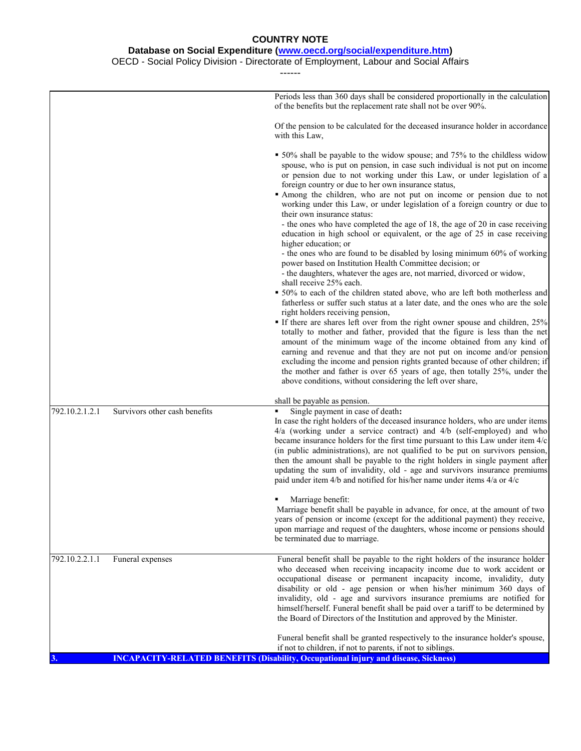#### **Database on Social Expenditure [\(www.oecd.org/social/expenditure.htm\)](http://www.oecd.org/social/expenditure.htm)**

#### OECD - Social Policy Division - Directorate of Employment, Labour and Social Affairs

------

|                |                               | Periods less than 360 days shall be considered proportionally in the calculation<br>of the benefits but the replacement rate shall not be over 90%.                                                                                                                                                                                                                                                                                                                                                                                                                                                                                                                                                                                                                                                                                                                                                                                                                                                                                                                                                                                                                                                                                                                                                                                                                                                                                                                                                                                                                                                                                                                      |
|----------------|-------------------------------|--------------------------------------------------------------------------------------------------------------------------------------------------------------------------------------------------------------------------------------------------------------------------------------------------------------------------------------------------------------------------------------------------------------------------------------------------------------------------------------------------------------------------------------------------------------------------------------------------------------------------------------------------------------------------------------------------------------------------------------------------------------------------------------------------------------------------------------------------------------------------------------------------------------------------------------------------------------------------------------------------------------------------------------------------------------------------------------------------------------------------------------------------------------------------------------------------------------------------------------------------------------------------------------------------------------------------------------------------------------------------------------------------------------------------------------------------------------------------------------------------------------------------------------------------------------------------------------------------------------------------------------------------------------------------|
|                |                               | Of the pension to be calculated for the deceased insurance holder in accordance<br>with this Law,                                                                                                                                                                                                                                                                                                                                                                                                                                                                                                                                                                                                                                                                                                                                                                                                                                                                                                                                                                                                                                                                                                                                                                                                                                                                                                                                                                                                                                                                                                                                                                        |
|                |                               | • 50% shall be payable to the widow spouse; and 75% to the childless widow<br>spouse, who is put on pension, in case such individual is not put on income<br>or pension due to not working under this Law, or under legislation of a<br>foreign country or due to her own insurance status,<br>Among the children, who are not put on income or pension due to not<br>working under this Law, or under legislation of a foreign country or due to<br>their own insurance status:<br>- the ones who have completed the age of 18, the age of 20 in case receiving<br>education in high school or equivalent, or the age of 25 in case receiving<br>higher education; or<br>- the ones who are found to be disabled by losing minimum 60% of working<br>power based on Institution Health Committee decision; or<br>- the daughters, whatever the ages are, not married, divorced or widow,<br>shall receive 25% each.<br>• 50% to each of the children stated above, who are left both motherless and<br>fatherless or suffer such status at a later date, and the ones who are the sole<br>right holders receiving pension,<br>• If there are shares left over from the right owner spouse and children, 25%<br>totally to mother and father, provided that the figure is less than the net<br>amount of the minimum wage of the income obtained from any kind of<br>earning and revenue and that they are not put on income and/or pension<br>excluding the income and pension rights granted because of other children; if<br>the mother and father is over 65 years of age, then totally 25%, under the<br>above conditions, without considering the left over share, |
|                |                               | shall be payable as pension.                                                                                                                                                                                                                                                                                                                                                                                                                                                                                                                                                                                                                                                                                                                                                                                                                                                                                                                                                                                                                                                                                                                                                                                                                                                                                                                                                                                                                                                                                                                                                                                                                                             |
| 792.10.2.1.2.1 | Survivors other cash benefits | Single payment in case of death:<br>In case the right holders of the deceased insurance holders, who are under items<br>4/a (working under a service contract) and 4/b (self-employed) and who<br>became insurance holders for the first time pursuant to this Law under item 4/c<br>(in public administrations), are not qualified to be put on survivors pension,<br>then the amount shall be payable to the right holders in single payment after<br>updating the sum of invalidity, old - age and survivors insurance premiums<br>paid under item 4/b and notified for his/her name under items 4/a or 4/c<br>Marriage benefit:                                                                                                                                                                                                                                                                                                                                                                                                                                                                                                                                                                                                                                                                                                                                                                                                                                                                                                                                                                                                                                      |
|                |                               | Marriage benefit shall be payable in advance, for once, at the amount of two<br>years of pension or income (except for the additional payment) they receive,<br>upon marriage and request of the daughters, whose income or pensions should<br>be terminated due to marriage.                                                                                                                                                                                                                                                                                                                                                                                                                                                                                                                                                                                                                                                                                                                                                                                                                                                                                                                                                                                                                                                                                                                                                                                                                                                                                                                                                                                            |
| 792.10.2.2.1.1 | Funeral expenses              | Funeral benefit shall be payable to the right holders of the insurance holder<br>who deceased when receiving incapacity income due to work accident or<br>occupational disease or permanent incapacity income, invalidity, duty<br>disability or old - age pension or when his/her minimum 360 days of<br>invalidity, old - age and survivors insurance premiums are notified for<br>himself/herself. Funeral benefit shall be paid over a tariff to be determined by<br>the Board of Directors of the Institution and approved by the Minister.                                                                                                                                                                                                                                                                                                                                                                                                                                                                                                                                                                                                                                                                                                                                                                                                                                                                                                                                                                                                                                                                                                                         |
|                |                               | Funeral benefit shall be granted respectively to the insurance holder's spouse,<br>if not to children, if not to parents, if not to siblings.                                                                                                                                                                                                                                                                                                                                                                                                                                                                                                                                                                                                                                                                                                                                                                                                                                                                                                                                                                                                                                                                                                                                                                                                                                                                                                                                                                                                                                                                                                                            |

**3. INCAPACITY-RELATED BENEFITS (Disability, Occupational injury and disease, Sickness)**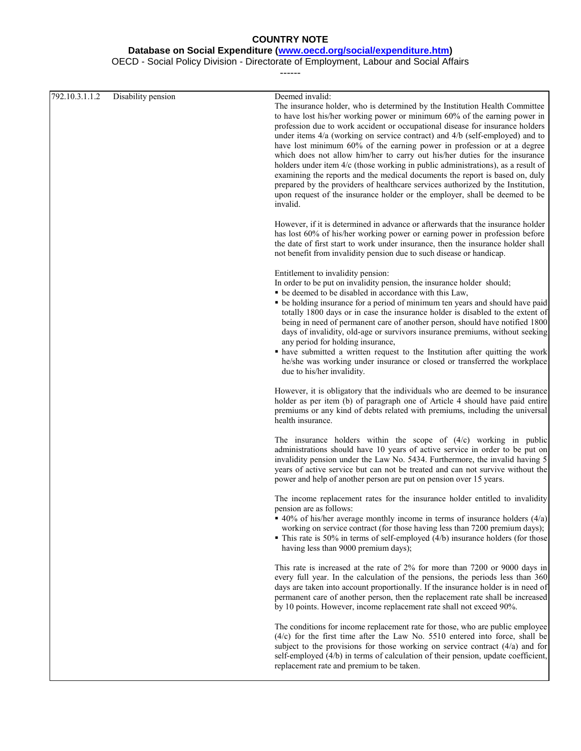**Database on Social Expenditure [\(www.oecd.org/social/expenditure.htm\)](http://www.oecd.org/social/expenditure.htm)**

OECD - Social Policy Division - Directorate of Employment, Labour and Social Affairs

| 792.10.3.1.1.2 | Disability pension | Deemed invalid:                                                                                                                                                                                                                                                                                                                                                                                                                                                                                                                                                                                                                                                                                                                                                                                                                      |
|----------------|--------------------|--------------------------------------------------------------------------------------------------------------------------------------------------------------------------------------------------------------------------------------------------------------------------------------------------------------------------------------------------------------------------------------------------------------------------------------------------------------------------------------------------------------------------------------------------------------------------------------------------------------------------------------------------------------------------------------------------------------------------------------------------------------------------------------------------------------------------------------|
|                |                    | The insurance holder, who is determined by the Institution Health Committee<br>to have lost his/her working power or minimum 60% of the earning power in<br>profession due to work accident or occupational disease for insurance holders<br>under items 4/a (working on service contract) and 4/b (self-employed) and to<br>have lost minimum 60% of the earning power in profession or at a degree<br>which does not allow him/her to carry out his/her duties for the insurance<br>holders under item 4/c (those working in public administrations), as a result of<br>examining the reports and the medical documents the report is based on, duly<br>prepared by the providers of healthcare services authorized by the Institution,<br>upon request of the insurance holder or the employer, shall be deemed to be<br>invalid. |
|                |                    | However, if it is determined in advance or afterwards that the insurance holder<br>has lost 60% of his/her working power or earning power in profession before<br>the date of first start to work under insurance, then the insurance holder shall<br>not benefit from invalidity pension due to such disease or handicap.                                                                                                                                                                                                                                                                                                                                                                                                                                                                                                           |
|                |                    | Entitlement to invalidity pension:                                                                                                                                                                                                                                                                                                                                                                                                                                                                                                                                                                                                                                                                                                                                                                                                   |
|                |                    | In order to be put on invalidity pension, the insurance holder should;<br>• be deemed to be disabled in accordance with this Law,<br>• be holding insurance for a period of minimum ten years and should have paid<br>totally 1800 days or in case the insurance holder is disabled to the extent of                                                                                                                                                                                                                                                                                                                                                                                                                                                                                                                                 |
|                |                    | being in need of permanent care of another person, should have notified 1800<br>days of invalidity, old-age or survivors insurance premiums, without seeking<br>any period for holding insurance,<br>• have submitted a written request to the Institution after quitting the work                                                                                                                                                                                                                                                                                                                                                                                                                                                                                                                                                   |
|                |                    | he/she was working under insurance or closed or transferred the workplace<br>due to his/her invalidity.                                                                                                                                                                                                                                                                                                                                                                                                                                                                                                                                                                                                                                                                                                                              |
|                |                    | However, it is obligatory that the individuals who are deemed to be insurance<br>holder as per item (b) of paragraph one of Article 4 should have paid entire<br>premiums or any kind of debts related with premiums, including the universal<br>health insurance.                                                                                                                                                                                                                                                                                                                                                                                                                                                                                                                                                                   |
|                |                    | The insurance holders within the scope of $(4/c)$ working in public<br>administrations should have 10 years of active service in order to be put on<br>invalidity pension under the Law No. 5434. Furthermore, the invalid having 5<br>years of active service but can not be treated and can not survive without the<br>power and help of another person are put on pension over 15 years.                                                                                                                                                                                                                                                                                                                                                                                                                                          |
|                |                    | The income replacement rates for the insurance holder entitled to invalidity<br>pension are as follows:<br>$\bullet$ 40% of his/her average monthly income in terms of insurance holders (4/a)<br>working on service contract (for those having less than 7200 premium days);<br>This rate is 50% in terms of self-employed (4/b) insurance holders (for those<br>having less than 9000 premium days);                                                                                                                                                                                                                                                                                                                                                                                                                               |
|                |                    | This rate is increased at the rate of 2% for more than 7200 or 9000 days in<br>every full year. In the calculation of the pensions, the periods less than 360<br>days are taken into account proportionally. If the insurance holder is in need of<br>permanent care of another person, then the replacement rate shall be increased<br>by 10 points. However, income replacement rate shall not exceed 90%.                                                                                                                                                                                                                                                                                                                                                                                                                         |
|                |                    | The conditions for income replacement rate for those, who are public employee<br>$(4/c)$ for the first time after the Law No. 5510 entered into force, shall be<br>subject to the provisions for those working on service contract $(4/a)$ and for<br>self-employed (4/b) in terms of calculation of their pension, update coefficient,<br>replacement rate and premium to be taken.                                                                                                                                                                                                                                                                                                                                                                                                                                                 |
|                |                    |                                                                                                                                                                                                                                                                                                                                                                                                                                                                                                                                                                                                                                                                                                                                                                                                                                      |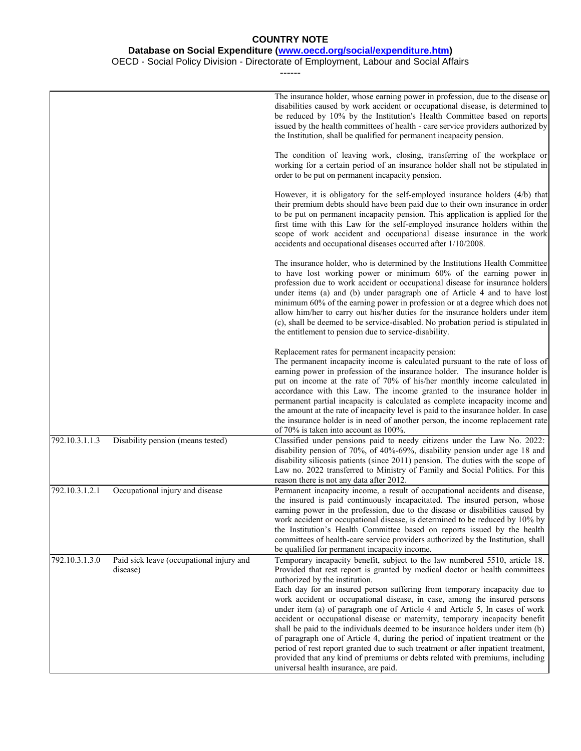#### **Database on Social Expenditure [\(www.oecd.org/social/expenditure.htm\)](http://www.oecd.org/social/expenditure.htm)**

OECD - Social Policy Division - Directorate of Employment, Labour and Social Affairs ------

|                |                                                      | The insurance holder, whose earning power in profession, due to the disease or<br>disabilities caused by work accident or occupational disease, is determined to<br>be reduced by 10% by the Institution's Health Committee based on reports<br>issued by the health committees of health - care service providers authorized by<br>the Institution, shall be qualified for permanent incapacity pension.                                                                                                                                                                                                                                                                                                                                                                                                                                                                                               |
|----------------|------------------------------------------------------|---------------------------------------------------------------------------------------------------------------------------------------------------------------------------------------------------------------------------------------------------------------------------------------------------------------------------------------------------------------------------------------------------------------------------------------------------------------------------------------------------------------------------------------------------------------------------------------------------------------------------------------------------------------------------------------------------------------------------------------------------------------------------------------------------------------------------------------------------------------------------------------------------------|
|                |                                                      | The condition of leaving work, closing, transferring of the workplace or<br>working for a certain period of an insurance holder shall not be stipulated in<br>order to be put on permanent incapacity pension.                                                                                                                                                                                                                                                                                                                                                                                                                                                                                                                                                                                                                                                                                          |
|                |                                                      | However, it is obligatory for the self-employed insurance holders (4/b) that<br>their premium debts should have been paid due to their own insurance in order<br>to be put on permanent incapacity pension. This application is applied for the<br>first time with this Law for the self-employed insurance holders within the<br>scope of work accident and occupational disease insurance in the work<br>accidents and occupational diseases occurred after 1/10/2008.                                                                                                                                                                                                                                                                                                                                                                                                                                |
|                |                                                      | The insurance holder, who is determined by the Institutions Health Committee<br>to have lost working power or minimum 60% of the earning power in<br>profession due to work accident or occupational disease for insurance holders<br>under items (a) and (b) under paragraph one of Article 4 and to have lost<br>minimum 60% of the earning power in profession or at a degree which does not<br>allow him/her to carry out his/her duties for the insurance holders under item<br>(c), shall be deemed to be service-disabled. No probation period is stipulated in<br>the entitlement to pension due to service-disability.                                                                                                                                                                                                                                                                         |
|                |                                                      | Replacement rates for permanent incapacity pension:<br>The permanent incapacity income is calculated pursuant to the rate of loss of<br>earning power in profession of the insurance holder. The insurance holder is<br>put on income at the rate of 70% of his/her monthly income calculated in<br>accordance with this Law. The income granted to the insurance holder in<br>permanent partial incapacity is calculated as complete incapacity income and<br>the amount at the rate of incapacity level is paid to the insurance holder. In case<br>the insurance holder is in need of another person, the income replacement rate<br>of 70% is taken into account as 100%.                                                                                                                                                                                                                           |
| 792.10.3.1.1.3 | Disability pension (means tested)                    | Classified under pensions paid to needy citizens under the Law No. 2022:<br>disability pension of 70%, of 40%-69%, disability pension under age 18 and<br>disability silicosis patients (since 2011) pension. The duties with the scope of<br>Law no. 2022 transferred to Ministry of Family and Social Politics. For this<br>reason there is not any data after 2012.                                                                                                                                                                                                                                                                                                                                                                                                                                                                                                                                  |
| 792.10.3.1.2.1 | Occupational injury and disease                      | Permanent incapacity income, a result of occupational accidents and disease,<br>the insured is paid continuously incapacitated. The insured person, whose<br>earning power in the profession, due to the disease or disabilities caused by<br>work accident or occupational disease, is determined to be reduced by 10% by<br>the Institution's Health Committee based on reports issued by the health<br>committees of health-care service providers authorized by the Institution, shall<br>be qualified for permanent incapacity income.                                                                                                                                                                                                                                                                                                                                                             |
| 792.10.3.1.3.0 | Paid sick leave (occupational injury and<br>disease) | Temporary incapacity benefit, subject to the law numbered 5510, article 18.<br>Provided that rest report is granted by medical doctor or health committees<br>authorized by the institution.<br>Each day for an insured person suffering from temporary incapacity due to<br>work accident or occupational disease, in case, among the insured persons<br>under item (a) of paragraph one of Article 4 and Article 5, In cases of work<br>accident or occupational disease or maternity, temporary incapacity benefit<br>shall be paid to the individuals deemed to be insurance holders under item (b)<br>of paragraph one of Article 4, during the period of inpatient treatment or the<br>period of rest report granted due to such treatment or after inpatient treatment,<br>provided that any kind of premiums or debts related with premiums, including<br>universal health insurance, are paid. |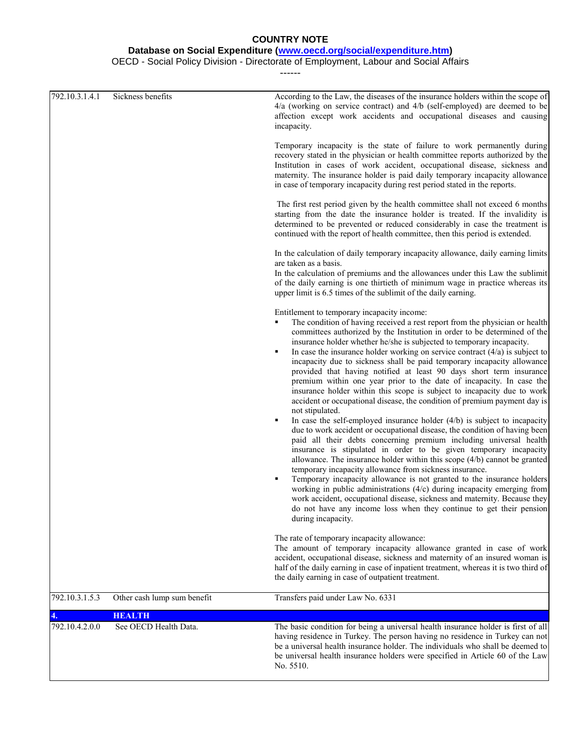#### **Database on Social Expenditure [\(www.oecd.org/social/expenditure.htm\)](http://www.oecd.org/social/expenditure.htm)**

OECD - Social Policy Division - Directorate of Employment, Labour and Social Affairs ------

| 792.10.3.1.4.1 | Sickness benefits           | According to the Law, the diseases of the insurance holders within the scope of<br>4/a (working on service contract) and 4/b (self-employed) are deemed to be<br>affection except work accidents and occupational diseases and causing<br>incapacity.<br>Temporary incapacity is the state of failure to work permanently during<br>recovery stated in the physician or health committee reports authorized by the<br>Institution in cases of work accident, occupational disease, sickness and<br>maternity. The insurance holder is paid daily temporary incapacity allowance<br>in case of temporary incapacity during rest period stated in the reports.<br>The first rest period given by the health committee shall not exceed 6 months<br>starting from the date the insurance holder is treated. If the invalidity is<br>determined to be prevented or reduced considerably in case the treatment is<br>continued with the report of health committee, then this period is extended.<br>In the calculation of daily temporary incapacity allowance, daily earning limits<br>are taken as a basis.<br>In the calculation of premiums and the allowances under this Law the sublimit<br>of the daily earning is one thirtieth of minimum wage in practice whereas its<br>upper limit is 6.5 times of the sublimit of the daily earning.<br>Entitlement to temporary incapacity income:<br>The condition of having received a rest report from the physician or health<br>committees authorized by the Institution in order to be determined of the<br>insurance holder whether he/she is subjected to temporary incapacity.<br>In case the insurance holder working on service contract $(4/a)$ is subject to<br>٠<br>incapacity due to sickness shall be paid temporary incapacity allowance<br>provided that having notified at least 90 days short term insurance<br>premium within one year prior to the date of incapacity. In case the<br>insurance holder within this scope is subject to incapacity due to work<br>accident or occupational disease, the condition of premium payment day is<br>not stipulated.<br>In case the self-employed insurance holder $(4/b)$ is subject to incapacity<br>٠<br>due to work accident or occupational disease, the condition of having been<br>paid all their debts concerning premium including universal health<br>insurance is stipulated in order to be given temporary incapacity<br>allowance. The insurance holder within this scope $(4/b)$ cannot be granted<br>temporary incapacity allowance from sickness insurance.<br>Temporary incapacity allowance is not granted to the insurance holders<br>٠<br>working in public administrations $(4/c)$ during incapacity emerging from<br>work accident, occupational disease, sickness and maternity. Because they<br>do not have any income loss when they continue to get their pension<br>during incapacity.<br>The rate of temporary incapacity allowance:<br>The amount of temporary incapacity allowance granted in case of work<br>accident, occupational disease, sickness and maternity of an insured woman is<br>half of the daily earning in case of inpatient treatment, whereas it is two third of |
|----------------|-----------------------------|----------------------------------------------------------------------------------------------------------------------------------------------------------------------------------------------------------------------------------------------------------------------------------------------------------------------------------------------------------------------------------------------------------------------------------------------------------------------------------------------------------------------------------------------------------------------------------------------------------------------------------------------------------------------------------------------------------------------------------------------------------------------------------------------------------------------------------------------------------------------------------------------------------------------------------------------------------------------------------------------------------------------------------------------------------------------------------------------------------------------------------------------------------------------------------------------------------------------------------------------------------------------------------------------------------------------------------------------------------------------------------------------------------------------------------------------------------------------------------------------------------------------------------------------------------------------------------------------------------------------------------------------------------------------------------------------------------------------------------------------------------------------------------------------------------------------------------------------------------------------------------------------------------------------------------------------------------------------------------------------------------------------------------------------------------------------------------------------------------------------------------------------------------------------------------------------------------------------------------------------------------------------------------------------------------------------------------------------------------------------------------------------------------------------------------------------------------------------------------------------------------------------------------------------------------------------------------------------------------------------------------------------------------------------------------------------------------------------------------------------------------------------------------------------------------------------------------------------------------------------------------------------------------------------------------------------------------------------------------------------------------------------------------------------------------------------------------------------------------------------------------------------------------------------------------------------------------------------------|
|                |                             | the daily earning in case of outpatient treatment.                                                                                                                                                                                                                                                                                                                                                                                                                                                                                                                                                                                                                                                                                                                                                                                                                                                                                                                                                                                                                                                                                                                                                                                                                                                                                                                                                                                                                                                                                                                                                                                                                                                                                                                                                                                                                                                                                                                                                                                                                                                                                                                                                                                                                                                                                                                                                                                                                                                                                                                                                                                                                                                                                                                                                                                                                                                                                                                                                                                                                                                                                                                                                                         |
| 792.10.3.1.5.3 | Other cash lump sum benefit | Transfers paid under Law No. 6331                                                                                                                                                                                                                                                                                                                                                                                                                                                                                                                                                                                                                                                                                                                                                                                                                                                                                                                                                                                                                                                                                                                                                                                                                                                                                                                                                                                                                                                                                                                                                                                                                                                                                                                                                                                                                                                                                                                                                                                                                                                                                                                                                                                                                                                                                                                                                                                                                                                                                                                                                                                                                                                                                                                                                                                                                                                                                                                                                                                                                                                                                                                                                                                          |
|                | <b>HEALTH</b>               |                                                                                                                                                                                                                                                                                                                                                                                                                                                                                                                                                                                                                                                                                                                                                                                                                                                                                                                                                                                                                                                                                                                                                                                                                                                                                                                                                                                                                                                                                                                                                                                                                                                                                                                                                                                                                                                                                                                                                                                                                                                                                                                                                                                                                                                                                                                                                                                                                                                                                                                                                                                                                                                                                                                                                                                                                                                                                                                                                                                                                                                                                                                                                                                                                            |
| 792.10.4.2.0.0 | See OECD Health Data.       | The basic condition for being a universal health insurance holder is first of all<br>having residence in Turkey. The person having no residence in Turkey can not<br>be a universal health insurance holder. The individuals who shall be deemed to<br>be universal health insurance holders were specified in Article 60 of the Law<br>No. 5510.                                                                                                                                                                                                                                                                                                                                                                                                                                                                                                                                                                                                                                                                                                                                                                                                                                                                                                                                                                                                                                                                                                                                                                                                                                                                                                                                                                                                                                                                                                                                                                                                                                                                                                                                                                                                                                                                                                                                                                                                                                                                                                                                                                                                                                                                                                                                                                                                                                                                                                                                                                                                                                                                                                                                                                                                                                                                          |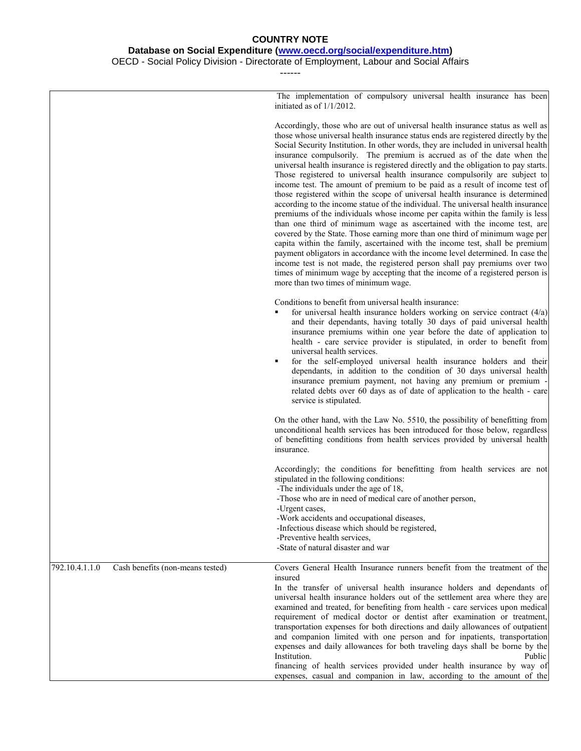#### **Database on Social Expenditure [\(www.oecd.org/social/expenditure.htm\)](http://www.oecd.org/social/expenditure.htm)**

OECD - Social Policy Division - Directorate of Employment, Labour and Social Affairs

------

The implementation of compulsory universal health insurance has been initiated as of 1/1/2012.

Accordingly, those who are out of universal health insurance status as well as those whose universal health insurance status ends are registered directly by the Social Security Institution. In other words, they are included in universal health insurance compulsorily. The premium is accrued as of the date when the universal health insurance is registered directly and the obligation to pay starts. Those registered to universal health insurance compulsorily are subject to income test. The amount of premium to be paid as a result of income test of those registered within the scope of universal health insurance is determined according to the income statue of the individual. The universal health insurance premiums of the individuals whose income per capita within the family is less than one third of minimum wage as ascertained with the income test, are covered by the State. Those earning more than one third of minimum wage per capita within the family, ascertained with the income test, shall be premium payment obligators in accordance with the income level determined. In case the income test is not made, the registered person shall pay premiums over two times of minimum wage by accepting that the income of a registered person is more than two times of minimum wage.

Conditions to benefit from universal health insurance:

|                |                                  | Conditions to benefit from universal health insurance:<br>for universal health insurance holders working on service contract $(4/a)$<br>and their dependants, having totally 30 days of paid universal health<br>insurance premiums within one year before the date of application to<br>health - care service provider is stipulated, in order to benefit from<br>universal health services.<br>for the self-employed universal health insurance holders and their<br>٠<br>dependants, in addition to the condition of 30 days universal health<br>insurance premium payment, not having any premium or premium -<br>related debts over 60 days as of date of application to the health - care<br>service is stipulated.<br>On the other hand, with the Law No. 5510, the possibility of benefitting from<br>unconditional health services has been introduced for those below, regardless<br>of benefitting conditions from health services provided by universal health<br>insurance.<br>Accordingly; the conditions for benefitting from health services are not |
|----------------|----------------------------------|----------------------------------------------------------------------------------------------------------------------------------------------------------------------------------------------------------------------------------------------------------------------------------------------------------------------------------------------------------------------------------------------------------------------------------------------------------------------------------------------------------------------------------------------------------------------------------------------------------------------------------------------------------------------------------------------------------------------------------------------------------------------------------------------------------------------------------------------------------------------------------------------------------------------------------------------------------------------------------------------------------------------------------------------------------------------|
|                |                                  | stipulated in the following conditions:<br>-The individuals under the age of 18,<br>-Those who are in need of medical care of another person,<br>-Urgent cases,<br>-Work accidents and occupational diseases,<br>-Infectious disease which should be registered,<br>-Preventive health services,<br>-State of natural disaster and war                                                                                                                                                                                                                                                                                                                                                                                                                                                                                                                                                                                                                                                                                                                               |
| 792.10.4.1.1.0 | Cash benefits (non-means tested) | Covers General Health Insurance runners benefit from the treatment of the<br>insured<br>In the transfer of universal health insurance holders and dependants of<br>universal health insurance holders out of the settlement area where they are<br>examined and treated for benefiting from health - care services upon medical                                                                                                                                                                                                                                                                                                                                                                                                                                                                                                                                                                                                                                                                                                                                      |

examined and treated, for benefiting from health - care services upon medical requirement of medical doctor or dentist after examination or treatment, transportation expenses for both directions and daily allowances of outpatient and companion limited with one person and for inpatients, transportation expenses and daily allowances for both traveling days shall be borne by the Institution. Public

financing of health services provided under health insurance by way of expenses, casual and companion in law, according to the amount of the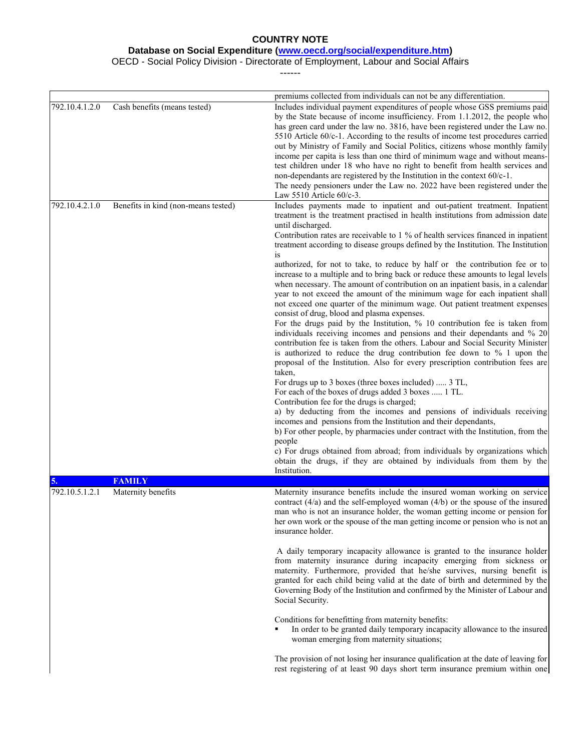**Database on Social Expenditure [\(www.oecd.org/social/expenditure.htm\)](http://www.oecd.org/social/expenditure.htm)**

OECD - Social Policy Division - Directorate of Employment, Labour and Social Affairs

|                |                                     | premiums collected from individuals can not be any differentiation.                                                                                                                                                                                                                                                                                                                                                                                                                                                                                                                                                                                                                                                                                                                                                                                                                                                                                                                                                                                                                                                                                                                                                                                                                                                                                                                                                                                                                                                                                                                                                                                                                                                                                                                                                                   |
|----------------|-------------------------------------|---------------------------------------------------------------------------------------------------------------------------------------------------------------------------------------------------------------------------------------------------------------------------------------------------------------------------------------------------------------------------------------------------------------------------------------------------------------------------------------------------------------------------------------------------------------------------------------------------------------------------------------------------------------------------------------------------------------------------------------------------------------------------------------------------------------------------------------------------------------------------------------------------------------------------------------------------------------------------------------------------------------------------------------------------------------------------------------------------------------------------------------------------------------------------------------------------------------------------------------------------------------------------------------------------------------------------------------------------------------------------------------------------------------------------------------------------------------------------------------------------------------------------------------------------------------------------------------------------------------------------------------------------------------------------------------------------------------------------------------------------------------------------------------------------------------------------------------|
| 792.10.4.1.2.0 | Cash benefits (means tested)        | Includes individual payment expenditures of people whose GSS premiums paid<br>by the State because of income insufficiency. From 1.1.2012, the people who<br>has green card under the law no. 3816, have been registered under the Law no.<br>5510 Article 60/c-1. According to the results of income test procedures carried<br>out by Ministry of Family and Social Politics, citizens whose monthly family<br>income per capita is less than one third of minimum wage and without means-<br>test children under 18 who have no right to benefit from health services and<br>non-dependants are registered by the Institution in the context 60/c-1.<br>The needy pensioners under the Law no. 2022 have been registered under the<br>Law 5510 Article 60/c-3.                                                                                                                                                                                                                                                                                                                                                                                                                                                                                                                                                                                                                                                                                                                                                                                                                                                                                                                                                                                                                                                                     |
| 792.10.4.2.1.0 | Benefits in kind (non-means tested) | Includes payments made to inpatient and out-patient treatment. Inpatient<br>treatment is the treatment practised in health institutions from admission date<br>until discharged.<br>Contribution rates are receivable to 1 % of health services financed in inpatient<br>treatment according to disease groups defined by the Institution. The Institution<br>1S<br>authorized, for not to take, to reduce by half or the contribution fee or to<br>increase to a multiple and to bring back or reduce these amounts to legal levels<br>when necessary. The amount of contribution on an inpatient basis, in a calendar<br>year to not exceed the amount of the minimum wage for each inpatient shall<br>not exceed one quarter of the minimum wage. Out patient treatment expenses<br>consist of drug, blood and plasma expenses.<br>For the drugs paid by the Institution, % 10 contribution fee is taken from<br>individuals receiving incomes and pensions and their dependants and % 20<br>contribution fee is taken from the others. Labour and Social Security Minister<br>is authorized to reduce the drug contribution fee down to % 1 upon the<br>proposal of the Institution. Also for every prescription contribution fees are<br>taken,<br>For drugs up to 3 boxes (three boxes included)  3 TL,<br>For each of the boxes of drugs added 3 boxes  1 TL.<br>Contribution fee for the drugs is charged;<br>a) by deducting from the incomes and pensions of individuals receiving<br>incomes and pensions from the Institution and their dependants,<br>b) For other people, by pharmacies under contract with the Institution, from the<br>people<br>c) For drugs obtained from abroad; from individuals by organizations which<br>obtain the drugs, if they are obtained by individuals from them by the<br>Institution. |
|                | <b>FAMILY</b>                       |                                                                                                                                                                                                                                                                                                                                                                                                                                                                                                                                                                                                                                                                                                                                                                                                                                                                                                                                                                                                                                                                                                                                                                                                                                                                                                                                                                                                                                                                                                                                                                                                                                                                                                                                                                                                                                       |
| 792.10.5.1.2.1 | Maternity benefits                  | Maternity insurance benefits include the insured woman working on service<br>contract $(4/a)$ and the self-employed woman $(4/b)$ or the spouse of the insured<br>man who is not an insurance holder, the woman getting income or pension for<br>her own work or the spouse of the man getting income or pension who is not an<br>insurance holder.                                                                                                                                                                                                                                                                                                                                                                                                                                                                                                                                                                                                                                                                                                                                                                                                                                                                                                                                                                                                                                                                                                                                                                                                                                                                                                                                                                                                                                                                                   |
|                |                                     | A daily temporary incapacity allowance is granted to the insurance holder<br>from maternity insurance during incapacity emerging from sickness or<br>maternity. Furthermore, provided that he/she survives, nursing benefit is<br>granted for each child being valid at the date of birth and determined by the<br>Governing Body of the Institution and confirmed by the Minister of Labour and<br>Social Security.                                                                                                                                                                                                                                                                                                                                                                                                                                                                                                                                                                                                                                                                                                                                                                                                                                                                                                                                                                                                                                                                                                                                                                                                                                                                                                                                                                                                                  |
|                |                                     | Conditions for benefitting from maternity benefits:<br>In order to be granted daily temporary incapacity allowance to the insured<br>woman emerging from maternity situations;                                                                                                                                                                                                                                                                                                                                                                                                                                                                                                                                                                                                                                                                                                                                                                                                                                                                                                                                                                                                                                                                                                                                                                                                                                                                                                                                                                                                                                                                                                                                                                                                                                                        |
|                |                                     | The provision of not losing her insurance qualification at the date of leaving for<br>rest registering of at least 90 days short term insurance premium within one                                                                                                                                                                                                                                                                                                                                                                                                                                                                                                                                                                                                                                                                                                                                                                                                                                                                                                                                                                                                                                                                                                                                                                                                                                                                                                                                                                                                                                                                                                                                                                                                                                                                    |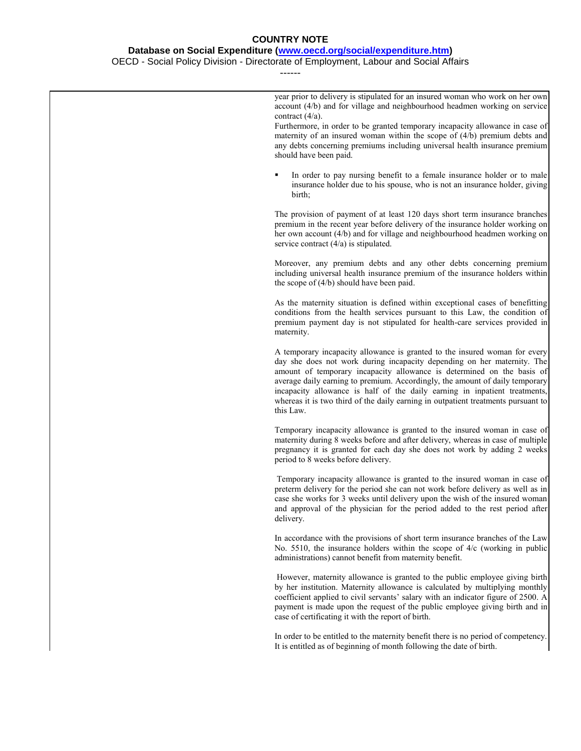#### **Database on Social Expenditure [\(www.oecd.org/social/expenditure.htm\)](http://www.oecd.org/social/expenditure.htm)**

OECD - Social Policy Division - Directorate of Employment, Labour and Social Affairs

| year prior to delivery is stipulated for an insured woman who work on her own<br>account (4/b) and for village and neighbourhood headmen working on service<br>contract $(4/a)$ .<br>Furthermore, in order to be granted temporary incapacity allowance in case of<br>maternity of an insured woman within the scope of $(4/b)$ premium debts and<br>any debts concerning premiums including universal health insurance premium<br>should have been paid.                                       |
|-------------------------------------------------------------------------------------------------------------------------------------------------------------------------------------------------------------------------------------------------------------------------------------------------------------------------------------------------------------------------------------------------------------------------------------------------------------------------------------------------|
| In order to pay nursing benefit to a female insurance holder or to male<br>insurance holder due to his spouse, who is not an insurance holder, giving<br>birth;                                                                                                                                                                                                                                                                                                                                 |
| The provision of payment of at least 120 days short term insurance branches<br>premium in the recent year before delivery of the insurance holder working on<br>her own account (4/b) and for village and neighbourhood headmen working on<br>service contract $(4/a)$ is stipulated.                                                                                                                                                                                                           |
| Moreover, any premium debts and any other debts concerning premium<br>including universal health insurance premium of the insurance holders within<br>the scope of $(4/b)$ should have been paid.                                                                                                                                                                                                                                                                                               |
| As the maternity situation is defined within exceptional cases of benefitting<br>conditions from the health services pursuant to this Law, the condition of<br>premium payment day is not stipulated for health-care services provided in<br>maternity.                                                                                                                                                                                                                                         |
| A temporary incapacity allowance is granted to the insured woman for every<br>day she does not work during incapacity depending on her maternity. The<br>amount of temporary incapacity allowance is determined on the basis of<br>average daily earning to premium. Accordingly, the amount of daily temporary<br>incapacity allowance is half of the daily earning in inpatient treatments,<br>whereas it is two third of the daily earning in outpatient treatments pursuant to<br>this Law. |
| Temporary incapacity allowance is granted to the insured woman in case of<br>maternity during 8 weeks before and after delivery, whereas in case of multiple<br>pregnancy it is granted for each day she does not work by adding 2 weeks<br>period to 8 weeks before delivery.                                                                                                                                                                                                                  |
| Temporary incapacity allowance is granted to the insured woman in case of<br>preterm delivery for the period she can not work before delivery as well as in<br>case she works for 3 weeks until delivery upon the wish of the insured woman<br>and approval of the physician for the period added to the rest period after<br>delivery.                                                                                                                                                         |
| In accordance with the provisions of short term insurance branches of the Law<br>No. 5510, the insurance holders within the scope of $4/c$ (working in public<br>administrations) cannot benefit from maternity benefit.                                                                                                                                                                                                                                                                        |
| However, maternity allowance is granted to the public employee giving birth<br>by her institution. Maternity allowance is calculated by multiplying monthly<br>coefficient applied to civil servants' salary with an indicator figure of 2500. A<br>payment is made upon the request of the public employee giving birth and in<br>case of certificating it with the report of birth.                                                                                                           |
| In order to be entitled to the maternity benefit there is no period of competency.<br>It is entitled as of beginning of month following the date of birth.                                                                                                                                                                                                                                                                                                                                      |